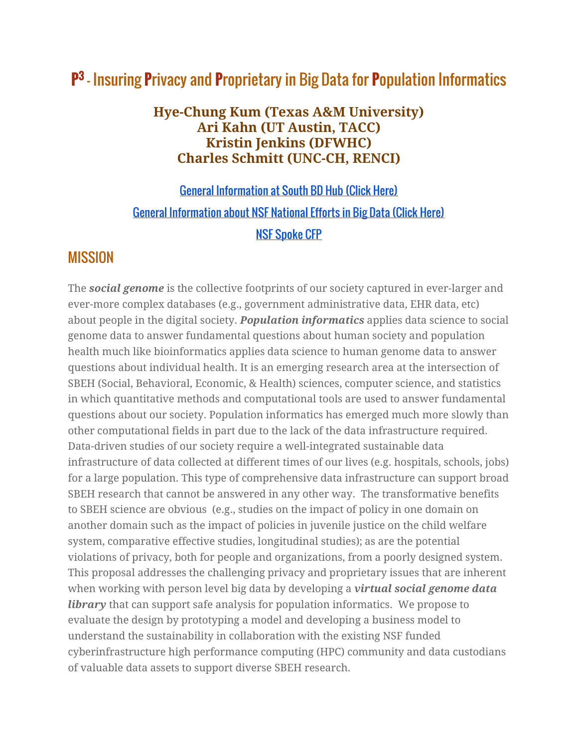# **P 3** – Insuring **P**rivacy and **P**roprietary in Big Data for **P**opulation Informatics

#### **Hye-Chung Kum (Texas A&M University) Ari Kahn (UT Austin, TACC) Kristin Jenkins (DFWHC) Charles Schmitt (UNC-CH, RENCI)**

# [General Information at South BD Hub \(Click Here\)](http://www.southbdhub.org/) [General Information about NSF National Efforts in Big Data \(Click Here\)](http://www.nsf.gov/news/news_summ.jsp?preview=y&cntn_id=136784) [NSF Spoke CFP](http://www.nsf.gov/funding/pgm_summ.jsp?pims_id=505264&org=NSF&sel_org=NSF&from=fund)

### **MISSION**

The *social genome* is the collective footprints of our society captured in ever-larger and ever-more complex databases (e.g., government administrative data, EHR data, etc) about people in the digital society. *Population informatics* applies data science to social genome data to answer fundamental questions about human society and population health much like bioinformatics applies data science to human genome data to answer questions about individual health. It is an emerging research area at the intersection of SBEH (Social, Behavioral, Economic, & Health) sciences, computer science, and statistics in which quantitative methods and computational tools are used to answer fundamental questions about our society. Population informatics has emerged much more slowly than other computational fields in part due to the lack of the data infrastructure required. Data-driven studies of our society require a well-integrated sustainable data infrastructure of data collected at different times of our lives (e.g. hospitals, schools, jobs) for a large population. This type of comprehensive data infrastructure can support broad SBEH research that cannot be answered in any other way. The transformative benefits to SBEH science are obvious (e.g., studies on the impact of policy in one domain on another domain such as the impact of policies in juvenile justice on the child welfare system, comparative effective studies, longitudinal studies); as are the potential violations of privacy, both for people and organizations, from a poorly designed system. This proposal addresses the challenging privacy and proprietary issues that are inherent when working with person level big data by developing a *virtual social genome data library* that can support safe analysis for population informatics. We propose to evaluate the design by prototyping a model and developing a business model to understand the sustainability in collaboration with the existing NSF funded cyberinfrastructure high performance computing (HPC) community and data custodians of valuable data assets to support diverse SBEH research.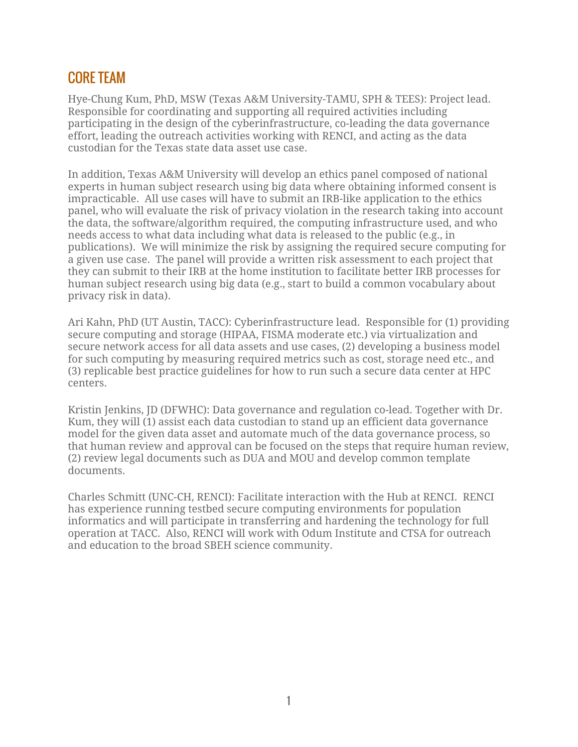### CORE TEAM

Hye-Chung Kum, PhD, MSW (Texas A&M University-TAMU, SPH & TEES): Project lead. Responsible for coordinating and supporting all required activities including participating in the design of the cyberinfrastructure, co-leading the data governance effort, leading the outreach activities working with RENCI, and acting as the data custodian for the Texas state data asset use case.

In addition, Texas A&M University will develop an ethics panel composed of national experts in human subject research using big data where obtaining informed consent is impracticable. All use cases will have to submit an IRB-like application to the ethics panel, who will evaluate the risk of privacy violation in the research taking into account the data, the software/algorithm required, the computing infrastructure used, and who needs access to what data including what data is released to the public (e.g., in publications). We will minimize the risk by assigning the required secure computing for a given use case. The panel will provide a written risk assessment to each project that they can submit to their IRB at the home institution to facilitate better IRB processes for human subject research using big data (e.g., start to build a common vocabulary about privacy risk in data).

Ari Kahn, PhD (UT Austin, TACC): Cyberinfrastructure lead. Responsible for (1) providing secure computing and storage (HIPAA, FISMA moderate etc.) via virtualization and secure network access for all data assets and use cases, (2) developing a business model for such computing by measuring required metrics such as cost, storage need etc., and (3) replicable best practice guidelines for how to run such a secure data center at HPC centers.

Kristin Jenkins, JD (DFWHC): Data governance and regulation co-lead. Together with Dr. Kum, they will (1) assist each data custodian to stand up an efficient data governance model for the given data asset and automate much of the data governance process, so that human review and approval can be focused on the steps that require human review, (2) review legal documents such as DUA and MOU and develop common template documents.

Charles Schmitt (UNC-CH, RENCI): Facilitate interaction with the Hub at RENCI. RENCI has experience running testbed secure computing environments for population informatics and will participate in transferring and hardening the technology for full operation at TACC. Also, RENCI will work with Odum Institute and CTSA for outreach and education to the broad SBEH science community.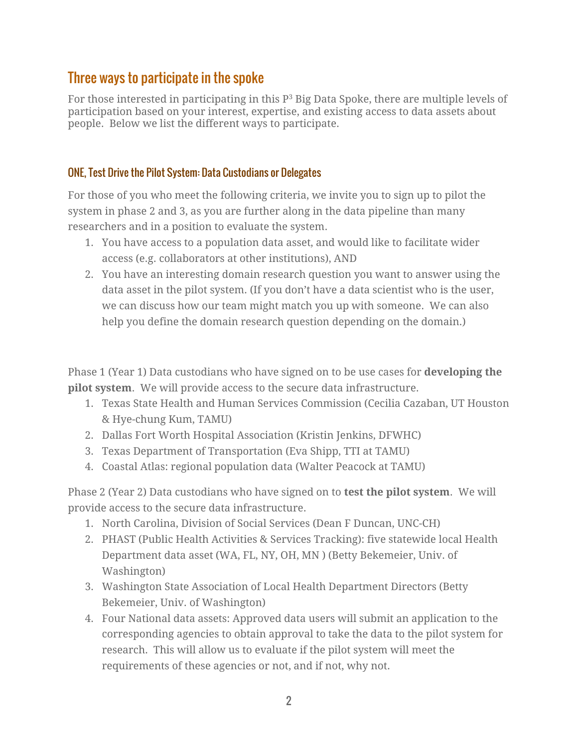## Three ways to participate in the spoke

For those interested in participating in this  $P<sup>3</sup>$  Big Data Spoke, there are multiple levels of participation based on your interest, expertise, and existing access to data assets about people. Below we list the different ways to participate.

#### ONE, Test Drive the Pilot System: Data Custodians or Delegates

For those of you who meet the following criteria, we invite you to sign up to pilot the system in phase 2 and 3, as you are further along in the data pipeline than many researchers and in a position to evaluate the system.

- 1. You have access to a population data asset, and would like to facilitate wider access (e.g. collaborators at other institutions), AND
- 2. You have an interesting domain research question you want to answer using the data asset in the pilot system. (If you don't have a data scientist who is the user, we can discuss how our team might match you up with someone. We can also help you define the domain research question depending on the domain.)

Phase 1 (Year 1) Data custodians who have signed on to be use cases for **developing the pilot system**. We will provide access to the secure data infrastructure.

- 1. Texas State Health and Human Services Commission (Cecilia Cazaban, UT Houston & Hye-chung Kum, TAMU)
- 2. Dallas Fort Worth Hospital Association (Kristin Jenkins, DFWHC)
- 3. Texas Department of Transportation (Eva Shipp, TTI at TAMU)
- 4. Coastal Atlas: regional population data (Walter Peacock at TAMU)

Phase 2 (Year 2) Data custodians who have signed on to **test the pilot system**. We will provide access to the secure data infrastructure.

- 1. North Carolina, Division of Social Services (Dean F Duncan, UNC-CH)
- 2. PHAST (Public Health Activities & Services Tracking): five statewide local Health Department data asset (WA, FL, NY, OH, MN ) (Betty Bekemeier, Univ. of Washington)
- 3. Washington State Association of Local Health Department Directors (Betty Bekemeier, Univ. of Washington)
- 4. Four National data assets: Approved data users will submit an application to the corresponding agencies to obtain approval to take the data to the pilot system for research. This will allow us to evaluate if the pilot system will meet the requirements of these agencies or not, and if not, why not.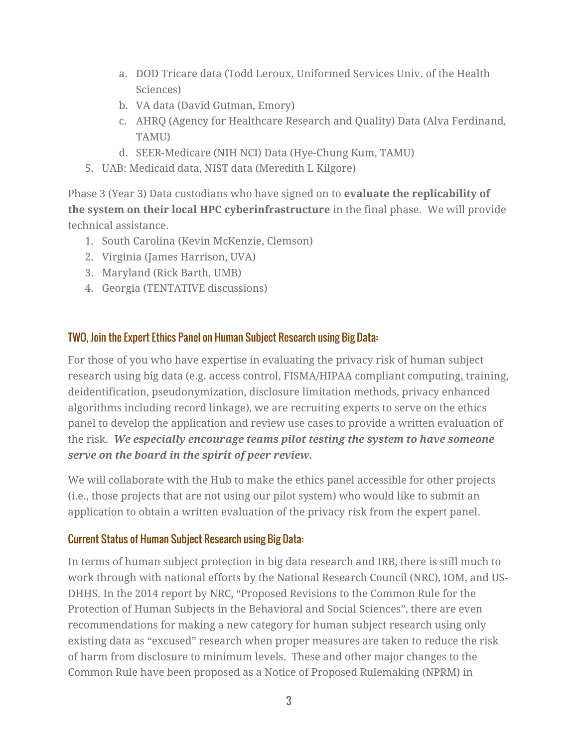- a. DOD Tricare data (Todd Leroux, Uniformed Services Univ. of the Health Sciences)
- b. VA data (David Gutman, Emory)
- c. AHRQ (Agency for Healthcare Research and Quality) Data (Alva Ferdinand, TAMU)
- d. SEER-Medicare (NIH NCI) Data (Hye-Chung Kum, TAMU)
- 5. UAB: Medicaid data, NIST data (Meredith L Kilgore)

Phase 3 (Year 3) Data custodians who have signed on to **evaluate the replicability of the system on their local HPC cyberinfrastructure** in the final phase. We will provide technical assistance.

- 1. South Carolina (Kevin McKenzie, Clemson)
- 2. Virginia (James Harrison, UVA)
- 3. Maryland (Rick Barth, UMB)
- 4. Georgia (TENTATIVE discussions)

#### TWO, Join the Expert Ethics Panel on Human Subject Research using Big Data:

For those of you who have expertise in evaluating the privacy risk of human subject research using big data (e.g. access control, FISMA/HIPAA compliant computing, training, deidentification, pseudonymization, disclosure limitation methods, privacy enhanced algorithms including record linkage), we are recruiting experts to serve on the ethics panel to develop the application and review use cases to provide a written evaluation of the risk. *We especially encourage teams pilot testing the system to have someone serve on the board in the spirit of peer review.*

We will collaborate with the Hub to make the ethics panel accessible for other projects (i.e., those projects that are not using our pilot system) who would like to submit an application to obtain a written evaluation of the privacy risk from the expert panel.

#### Current Status of Human Subject Research using Big Data:

In terms of human subject protection in big data research and IRB, there is still much to work through with national efforts by the National Research Council (NRC), IOM, and US-DHHS. In the 2014 report by NRC, "Proposed Revisions to the Common Rule for the Protection of Human Subjects in the Behavioral and Social Sciences", there are even recommendations for making a new category for human subject research using only existing data as "excused" research when proper measures are taken to reduce the risk of harm from disclosure to minimum levels. These and other major changes to the Common Rule have been proposed as a Notice of Proposed Rulemaking (NPRM) in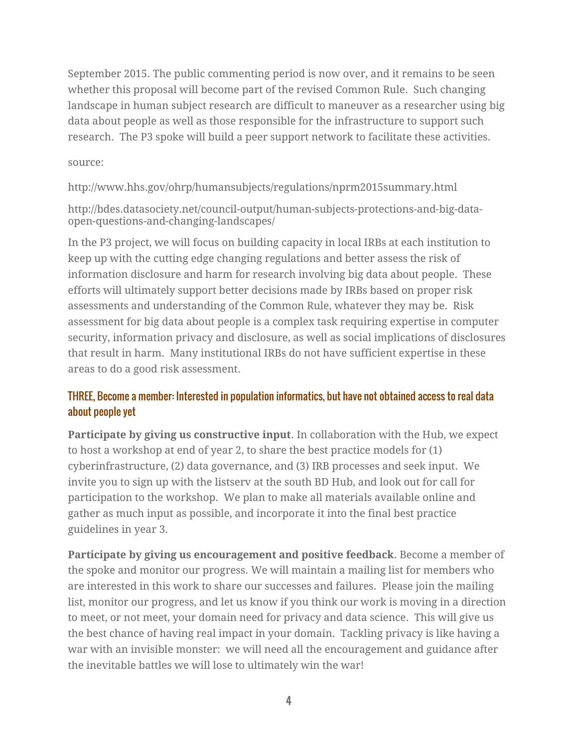September 2015. The public commenting period is now over, and it remains to be seen whether this proposal will become part of the revised Common Rule. Such changing landscape in human subject research are difficult to maneuver as a researcher using big data about people as well as those responsible for the infrastructure to support such research. The P3 spoke will build a peer support network to facilitate these activities.

#### source:

http://www.hhs.gov/ohrp/humansubjects/regulations/nprm2015summary.html

http://bdes.datasociety.net/council-output/human-subjects-protections-and-big-dataopen-questions-and-changing-landscapes/

In the P3 project, we will focus on building capacity in local IRBs at each institution to keep up with the cutting edge changing regulations and better assess the risk of information disclosure and harm for research involving big data about people. These efforts will ultimately support better decisions made by IRBs based on proper risk assessments and understanding of the Common Rule, whatever they may be. Risk assessment for big data about people is a complex task requiring expertise in computer security, information privacy and disclosure, as well as social implications of disclosures that result in harm. Many institutional IRBs do not have sufficient expertise in these areas to do a good risk assessment.

#### THREE, Become a member: Interested in population informatics, but have not obtained access to real data about people yet

**Participate by giving us constructive input**. In collaboration with the Hub, we expect to host a workshop at end of year 2, to share the best practice models for (1) cyberinfrastructure, (2) data governance, and (3) IRB processes and seek input. We invite you to sign up with the listserv at the south BD Hub, and look out for call for participation to the workshop. We plan to make all materials available online and gather as much input as possible, and incorporate it into the final best practice guidelines in year 3.

**Participate by giving us encouragement and positive feedback**. Become a member of the spoke and monitor our progress. We will maintain a mailing list for members who are interested in this work to share our successes and failures. Please join the mailing list, monitor our progress, and let us know if you think our work is moving in a direction to meet, or not meet, your domain need for privacy and data science. This will give us the best chance of having real impact in your domain. Tackling privacy is like having a war with an invisible monster: we will need all the encouragement and guidance after the inevitable battles we will lose to ultimately win the war!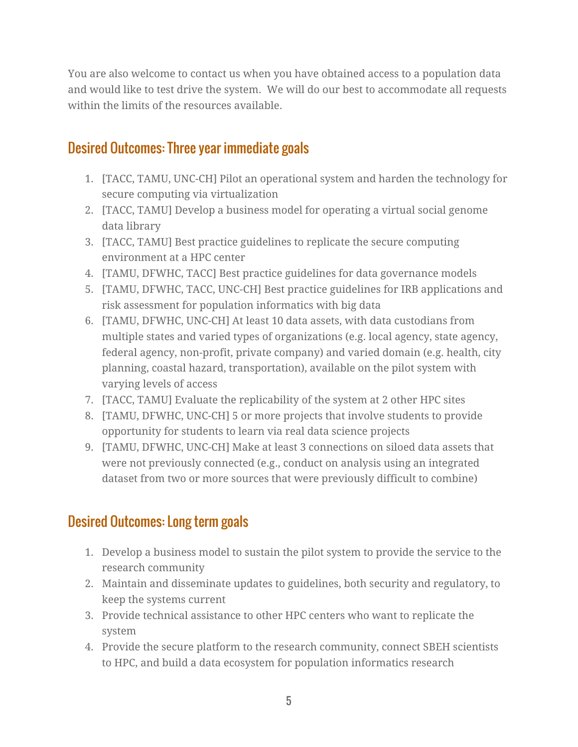You are also welcome to contact us when you have obtained access to a population data and would like to test drive the system. We will do our best to accommodate all requests within the limits of the resources available.

## Desired Outcomes: Three year immediate goals

- 1. [TACC, TAMU, UNC-CH] Pilot an operational system and harden the technology for secure computing via virtualization
- 2. [TACC, TAMU] Develop a business model for operating a virtual social genome data library
- 3. [TACC, TAMU] Best practice guidelines to replicate the secure computing environment at a HPC center
- 4. [TAMU, DFWHC, TACC] Best practice guidelines for data governance models
- 5. [TAMU, DFWHC, TACC, UNC-CH] Best practice guidelines for IRB applications and risk assessment for population informatics with big data
- 6. [TAMU, DFWHC, UNC-CH] At least 10 data assets, with data custodians from multiple states and varied types of organizations (e.g. local agency, state agency, federal agency, non-profit, private company) and varied domain (e.g. health, city planning, coastal hazard, transportation), available on the pilot system with varying levels of access
- 7. [TACC, TAMU] Evaluate the replicability of the system at 2 other HPC sites
- 8. [TAMU, DFWHC, UNC-CH] 5 or more projects that involve students to provide opportunity for students to learn via real data science projects
- 9. [TAMU, DFWHC, UNC-CH] Make at least 3 connections on siloed data assets that were not previously connected (e.g., conduct on analysis using an integrated dataset from two or more sources that were previously difficult to combine)

## Desired Outcomes: Long term goals

- 1. Develop a business model to sustain the pilot system to provide the service to the research community
- 2. Maintain and disseminate updates to guidelines, both security and regulatory, to keep the systems current
- 3. Provide technical assistance to other HPC centers who want to replicate the system
- 4. Provide the secure platform to the research community, connect SBEH scientists to HPC, and build a data ecosystem for population informatics research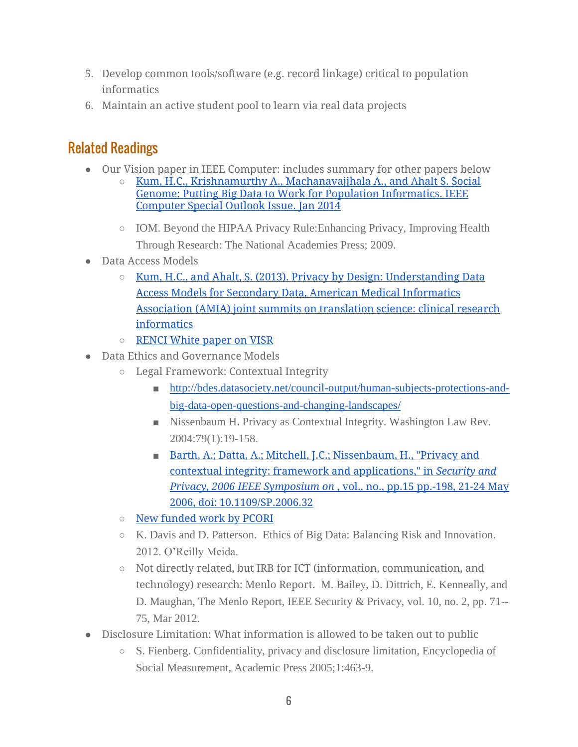- 5. Develop common tools/software (e.g. record linkage) critical to population informatics
- 6. Maintain an active student pool to learn via real data projects

# Related Readings

- Our Vision paper in IEEE Computer: includes summary for other papers below
	- [Kum, H.C., Krishnamurthy A., Machanavajjhala A., and Ahalt S. Social](http://pinformatics.web.unc.edu/files/2013/12/IEEEkum_56-631.pdf)  [Genome: Putting Big Data to Work for Population Informatics. IEEE](http://pinformatics.web.unc.edu/files/2013/12/IEEEkum_56-631.pdf)  [Computer Special Outlook Issue. Jan 2014](http://pinformatics.web.unc.edu/files/2013/12/IEEEkum_56-631.pdf)
		- IOM. Beyond the HIPAA Privacy Rule:Enhancing Privacy, Improving Health Through Research: The National Academies Press; 2009.
- Data Access Models
	- $\circ$  Kum, H.C., and Ahalt, S. (2013). Privacy by Design: Understanding Data [Access Models for Secondary Data, American Medical Informatics](http://www.ncbi.nlm.nih.gov/pmc/articles/PMC3845756/)  [Association \(AMIA\) joint summits on translation science: clinical research](http://www.ncbi.nlm.nih.gov/pmc/articles/PMC3845756/)  [informatics](http://www.ncbi.nlm.nih.gov/pmc/articles/PMC3845756/)
	- [RENCI White paper on VISR](http://www.renci.org/White-Paper-2015-VISR)
- Data Ethics and Governance Models
	- Legal Framework: Contextual Integrity
		- [http://bdes.datasociety.net/council-output/human-subjects-protections-and](http://bdes.datasociety.net/council-output/human-subjects-protections-and-big-data-open-questions-and-changing-landscapes/)[big-data-open-questions-and-changing-landscapes/](http://bdes.datasociety.net/council-output/human-subjects-protections-and-big-data-open-questions-and-changing-landscapes/)
		- Nissenbaum H. Privacy as Contextual Integrity. Washington Law Rev. 2004:79(1):19-158.
		- Barth, A.; Datta, A.; Mitchell, J.C.; Nissenbaum, H., "Privacy and [contextual integrity: framework and applications," in](http://ieeexplore.ieee.org/stamp/stamp.jsp?tp=&arnumber=1624011&isnumber=34091) *[Security and](http://ieeexplore.ieee.org/stamp/stamp.jsp?tp=&arnumber=1624011&isnumber=34091)  [Privacy, 2006 IEEE Symposium on](http://ieeexplore.ieee.org/stamp/stamp.jsp?tp=&arnumber=1624011&isnumber=34091)* [, vol., no., pp.15 pp.-198, 21-24 May](http://ieeexplore.ieee.org/stamp/stamp.jsp?tp=&arnumber=1624011&isnumber=34091)  [2006, doi: 10.1109/SP.2006.32](http://ieeexplore.ieee.org/stamp/stamp.jsp?tp=&arnumber=1624011&isnumber=34091)
	- [New funded work by PCORI](http://www.pcori.org/research-results/2015/research-ethics-patient-centered-outcomes-research)
	- K. Davis and D. Patterson. Ethics of Big Data: Balancing Risk and Innovation. 2012. O'Reilly Meida.
	- Not directly related, but IRB for ICT (information, communication, and technology) research: Menlo Report. M. Bailey, D. Dittrich, E. Kenneally, and D. Maughan, The Menlo Report, IEEE Security & Privacy, vol. 10, no. 2, pp. 71-- 75, Mar 2012.
- Disclosure Limitation: What information is allowed to be taken out to public
	- S. Fienberg. Confidentiality, privacy and disclosure limitation, Encyclopedia of Social Measurement, Academic Press 2005;1:463-9.